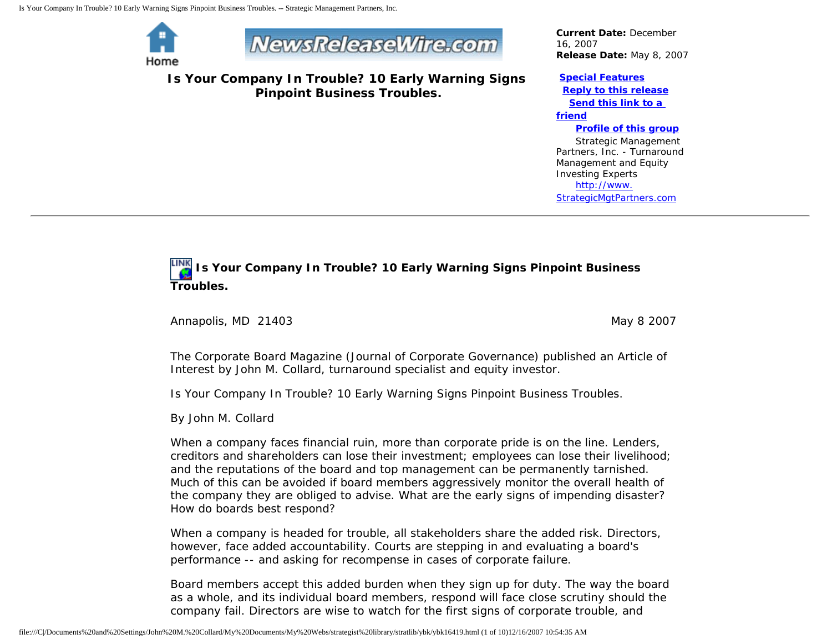Is Your Company In Trouble? 10 Early Warning Signs Pinpoint Business Troubles. -- Strategic Management Partners, Inc.



# **NewsReleaseWire.com**

**Is Your Company In Trouble? 10 Early Warning Signs Pinpoint Business Troubles.**

*Current Date:* December 16, 2007 *Release Date:* May 8, 2007

## **[Special Features](javascript:openlittleme()**

 **[Reply to this release](file:///C|/Documents%20and%20Settings/John%20M.%20Collard/My%20Documents/My%20Webs/strategist%20library/stratlib/ybk/default.cfm?Action=ReplyRelease&Id=16419) [Send this link to a](file:///C|/Documents%20and%20Settings/John%20M.%20Collard/My%20Documents/My%20Webs/strategist%20library/stratlib/ybk/default.cfm?Action=SendLink&SendId=16419)** 

### **[friend](file:///C|/Documents%20and%20Settings/John%20M.%20Collard/My%20Documents/My%20Webs/strategist%20library/stratlib/ybk/default.cfm?Action=SendLink&SendId=16419)**

#### **[Profile of this group](file:///C|/Documents%20and%20Settings/John%20M.%20Collard/My%20Documents/My%20Webs/strategist%20library/stratlib/ybk/default.cfm?Action=Profile&ProfileId=623)**

 Strategic Management Partners, Inc. - Turnaround Management and Equity Investing Experts [http://www.](http://www.strategicmgtpartners.com/) [StrategicMgtPartners.com](http://www.strategicmgtpartners.com/)

# **Is Your Company In Trouble? 10 Early Warning Signs Pinpoint Business Troubles.**

Annapolis, MD 21403 May 8 2007

The Corporate Board Magazine (Journal of Corporate Governance) published an Article of Interest by John M. Collard, turnaround specialist and equity investor.

Is Your Company In Trouble? 10 Early Warning Signs Pinpoint Business Troubles.

By John M. Collard

When a company faces financial ruin, more than corporate pride is on the line. Lenders, creditors and shareholders can lose their investment; employees can lose their livelihood; and the reputations of the board and top management can be permanently tarnished. Much of this can be avoided if board members aggressively monitor the overall health of the company they are obliged to advise. What are the early signs of impending disaster? How do boards best respond?

When a company is headed for trouble, all stakeholders share the added risk. Directors, however, face added accountability. Courts are stepping in and evaluating a board's performance -- and asking for recompense in cases of corporate failure.

Board members accept this added burden when they sign up for duty. The way the board as a whole, and its individual board members, respond will face close scrutiny should the company fail. Directors are wise to watch for the first signs of corporate trouble, and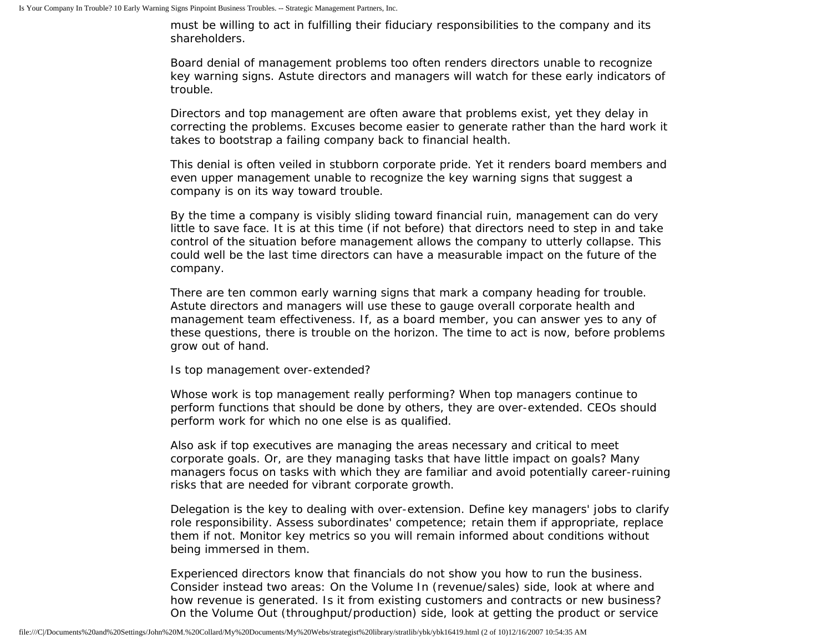must be willing to act in fulfilling their fiduciary responsibilities to the company and its shareholders.

Board denial of management problems too often renders directors unable to recognize key warning signs. Astute directors and managers will watch for these early indicators of trouble.

Directors and top management are often aware that problems exist, yet they delay in correcting the problems. Excuses become easier to generate rather than the hard work it takes to bootstrap a failing company back to financial health.

This denial is often veiled in stubborn corporate pride. Yet it renders board members and even upper management unable to recognize the key warning signs that suggest a company is on its way toward trouble.

By the time a company is visibly sliding toward financial ruin, management can do very little to save face. It is at this time (if not before) that directors need to step in and take control of the situation before management allows the company to utterly collapse. This could well be the last time directors can have a measurable impact on the future of the company.

There are ten common early warning signs that mark a company heading for trouble. Astute directors and managers will use these to gauge overall corporate health and management team effectiveness. If, as a board member, you can answer yes to any of these questions, there is trouble on the horizon. The time to act is now, before problems grow out of hand.

Is top management over-extended?

Whose work is top management really performing? When top managers continue to perform functions that should be done by others, they are over-extended. CEOs should perform work for which no one else is as qualified.

Also ask if top executives are managing the areas necessary and critical to meet corporate goals. Or, are they managing tasks that have little impact on goals? Many managers focus on tasks with which they are familiar and avoid potentially career-ruining risks that are needed for vibrant corporate growth.

Delegation is the key to dealing with over-extension. Define key managers' jobs to clarify role responsibility. Assess subordinates' competence; retain them if appropriate, replace them if not. Monitor key metrics so you will remain informed about conditions without being immersed in them.

Experienced directors know that financials do not show you how to run the business. Consider instead two areas: On the Volume In (revenue/sales) side, look at where and how revenue is generated. Is it from existing customers and contracts or new business? On the Volume Out (throughput/production) side, look at getting the product or service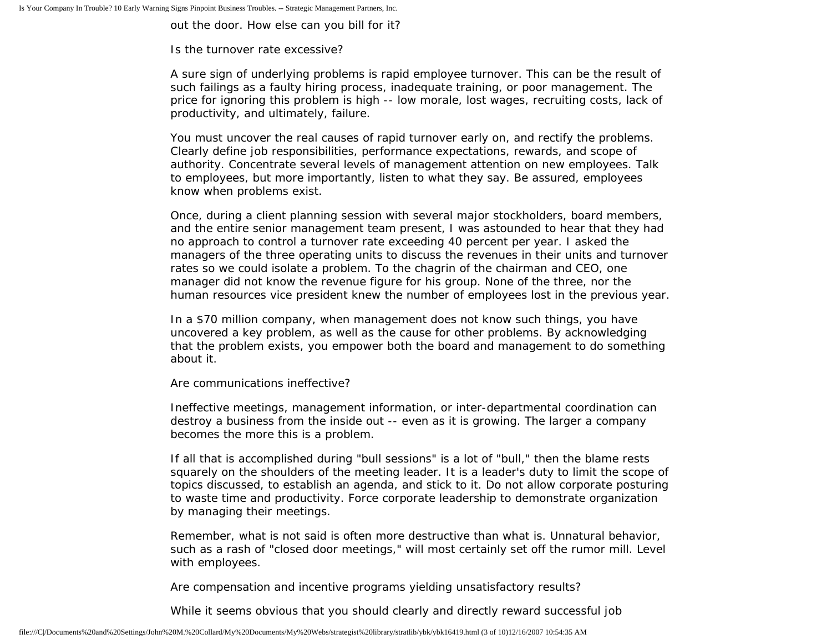out the door. How else can you bill for it?

Is the turnover rate excessive?

A sure sign of underlying problems is rapid employee turnover. This can be the result of such failings as a faulty hiring process, inadequate training, or poor management. The price for ignoring this problem is high -- low morale, lost wages, recruiting costs, lack of productivity, and ultimately, failure.

You must uncover the real causes of rapid turnover early on, and rectify the problems. Clearly define job responsibilities, performance expectations, rewards, and scope of authority. Concentrate several levels of management attention on new employees. Talk to employees, but more importantly, listen to what they say. Be assured, employees know when problems exist.

Once, during a client planning session with several major stockholders, board members, and the entire senior management team present, I was astounded to hear that they had no approach to control a turnover rate exceeding 40 percent per year. I asked the managers of the three operating units to discuss the revenues in their units and turnover rates so we could isolate a problem. To the chagrin of the chairman and CEO, one manager did not know the revenue figure for his group. None of the three, nor the human resources vice president knew the number of employees lost in the previous year.

In a \$70 million company, when management does not know such things, you have uncovered a key problem, as well as the cause for other problems. By acknowledging that the problem exists, you empower both the board and management to do something about it.

Are communications ineffective?

Ineffective meetings, management information, or inter-departmental coordination can destroy a business from the inside out -- even as it is growing. The larger a company becomes the more this is a problem.

If all that is accomplished during "bull sessions" is a lot of "bull," then the blame rests squarely on the shoulders of the meeting leader. It is a leader's duty to limit the scope of topics discussed, to establish an agenda, and stick to it. Do not allow corporate posturing to waste time and productivity. Force corporate leadership to demonstrate organization by managing their meetings.

Remember, what is not said is often more destructive than what is. Unnatural behavior, such as a rash of "closed door meetings," will most certainly set off the rumor mill. Level with employees.

Are compensation and incentive programs yielding unsatisfactory results?

While it seems obvious that you should clearly and directly reward successful job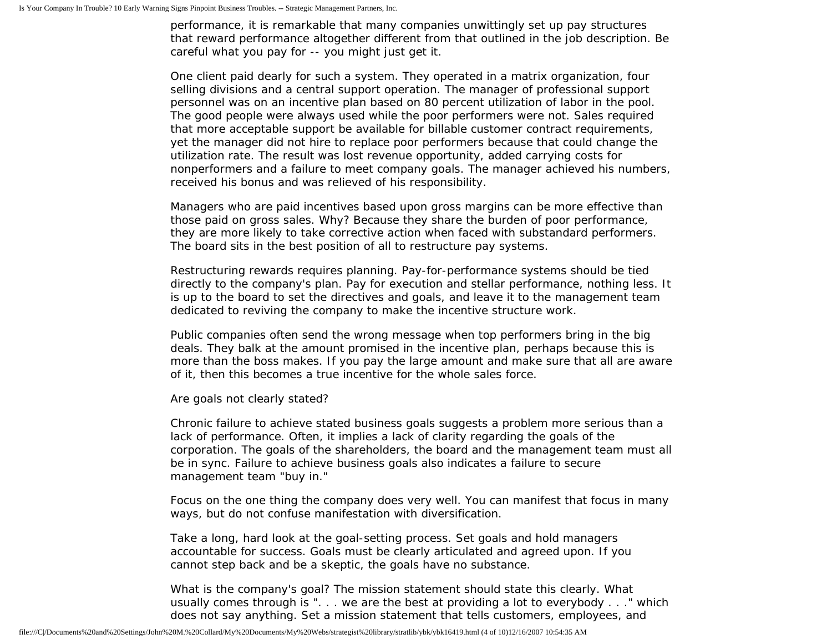performance, it is remarkable that many companies unwittingly set up pay structures that reward performance altogether different from that outlined in the job description. Be careful what you pay for -- you might just get it.

One client paid dearly for such a system. They operated in a matrix organization, four selling divisions and a central support operation. The manager of professional support personnel was on an incentive plan based on 80 percent utilization of labor in the pool. The good people were always used while the poor performers were not. Sales required that more acceptable support be available for billable customer contract requirements, yet the manager did not hire to replace poor performers because that could change the utilization rate. The result was lost revenue opportunity, added carrying costs for nonperformers and a failure to meet company goals. The manager achieved his numbers, received his bonus and was relieved of his responsibility.

Managers who are paid incentives based upon gross margins can be more effective than those paid on gross sales. Why? Because they share the burden of poor performance, they are more likely to take corrective action when faced with substandard performers. The board sits in the best position of all to restructure pay systems.

Restructuring rewards requires planning. Pay-for-performance systems should be tied directly to the company's plan. Pay for execution and stellar performance, nothing less. It is up to the board to set the directives and goals, and leave it to the management team dedicated to reviving the company to make the incentive structure work.

Public companies often send the wrong message when top performers bring in the big deals. They balk at the amount promised in the incentive plan, perhaps because this is more than the boss makes. If you pay the large amount and make sure that all are aware of it, then this becomes a true incentive for the whole sales force.

Are goals not clearly stated?

Chronic failure to achieve stated business goals suggests a problem more serious than a lack of performance. Often, it implies a lack of clarity regarding the goals of the corporation. The goals of the shareholders, the board and the management team must all be in sync. Failure to achieve business goals also indicates a failure to secure management team "buy in."

Focus on the one thing the company does very well. You can manifest that focus in many ways, but do not confuse manifestation with diversification.

Take a long, hard look at the goal-setting process. Set goals and hold managers accountable for success. Goals must be clearly articulated and agreed upon. If you cannot step back and be a skeptic, the goals have no substance.

What is the company's goal? The mission statement should state this clearly. What usually comes through is ". . . we are the best at providing a lot to everybody . . ." which does not say anything. Set a mission statement that tells customers, employees, and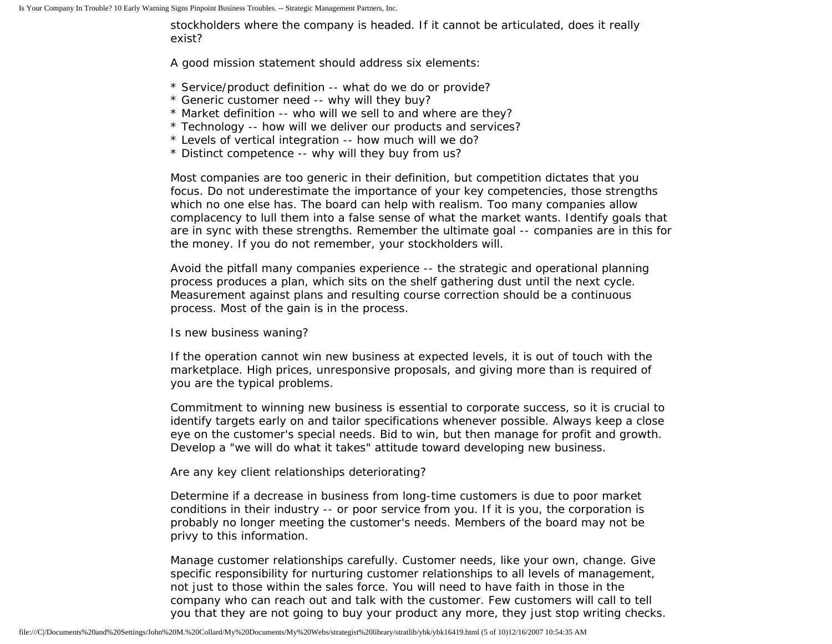stockholders where the company is headed. If it cannot be articulated, does it really exist?

A good mission statement should address six elements:

- \* Service/product definition -- what do we do or provide?
- \* Generic customer need -- why will they buy?
- \* Market definition -- who will we sell to and where are they?
- \* Technology -- how will we deliver our products and services?
- \* Levels of vertical integration -- how much will we do?
- \* Distinct competence -- why will they buy from us?

Most companies are too generic in their definition, but competition dictates that you focus. Do not underestimate the importance of your key competencies, those strengths which no one else has. The board can help with realism. Too many companies allow complacency to lull them into a false sense of what the market wants. Identify goals that are in sync with these strengths. Remember the ultimate goal -- companies are in this for the money. If you do not remember, your stockholders will.

Avoid the pitfall many companies experience -- the strategic and operational planning process produces a plan, which sits on the shelf gathering dust until the next cycle. Measurement against plans and resulting course correction should be a continuous process. Most of the gain is in the process.

Is new business waning?

If the operation cannot win new business at expected levels, it is out of touch with the marketplace. High prices, unresponsive proposals, and giving more than is required of you are the typical problems.

Commitment to winning new business is essential to corporate success, so it is crucial to identify targets early on and tailor specifications whenever possible. Always keep a close eye on the customer's special needs. Bid to win, but then manage for profit and growth. Develop a "we will do what it takes" attitude toward developing new business.

Are any key client relationships deteriorating?

Determine if a decrease in business from long-time customers is due to poor market conditions in their industry -- or poor service from you. If it is you, the corporation is probably no longer meeting the customer's needs. Members of the board may not be privy to this information.

Manage customer relationships carefully. Customer needs, like your own, change. Give specific responsibility for nurturing customer relationships to all levels of management, not just to those within the sales force. You will need to have faith in those in the company who can reach out and talk with the customer. Few customers will call to tell you that they are not going to buy your product any more, they just stop writing checks.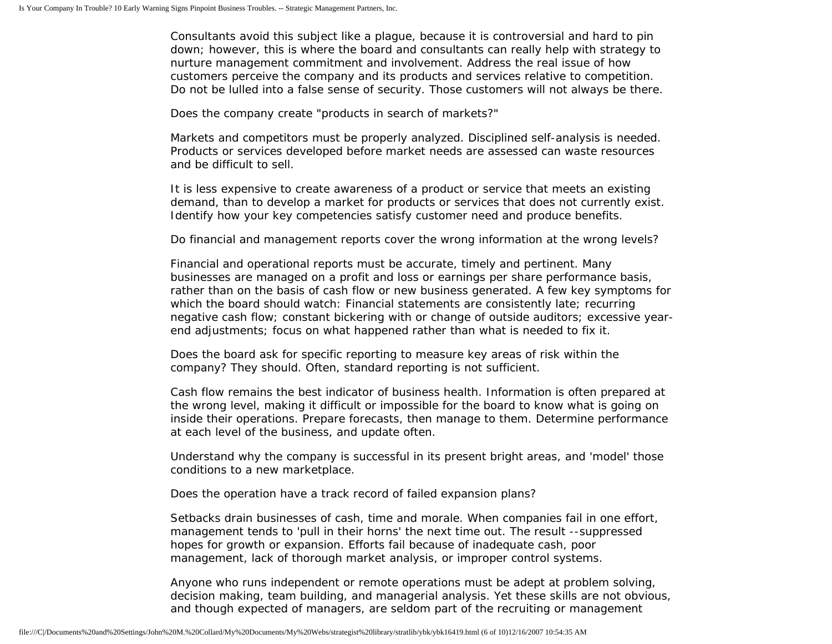Consultants avoid this subject like a plague, because it is controversial and hard to pin down; however, this is where the board and consultants can really help with strategy to nurture management commitment and involvement. Address the real issue of how customers perceive the company and its products and services relative to competition. Do not be lulled into a false sense of security. Those customers will not always be there.

Does the company create "products in search of markets?"

Markets and competitors must be properly analyzed. Disciplined self-analysis is needed. Products or services developed before market needs are assessed can waste resources and be difficult to sell.

It is less expensive to create awareness of a product or service that meets an existing demand, than to develop a market for products or services that does not currently exist. Identify how your key competencies satisfy customer need and produce benefits.

Do financial and management reports cover the wrong information at the wrong levels?

Financial and operational reports must be accurate, timely and pertinent. Many businesses are managed on a profit and loss or earnings per share performance basis, rather than on the basis of cash flow or new business generated. A few key symptoms for which the board should watch: Financial statements are consistently late; recurring negative cash flow; constant bickering with or change of outside auditors; excessive yearend adjustments; focus on what happened rather than what is needed to fix it.

Does the board ask for specific reporting to measure key areas of risk within the company? They should. Often, standard reporting is not sufficient.

Cash flow remains the best indicator of business health. Information is often prepared at the wrong level, making it difficult or impossible for the board to know what is going on inside their operations. Prepare forecasts, then manage to them. Determine performance at each level of the business, and update often.

Understand why the company is successful in its present bright areas, and 'model' those conditions to a new marketplace.

Does the operation have a track record of failed expansion plans?

Setbacks drain businesses of cash, time and morale. When companies fail in one effort, management tends to 'pull in their horns' the next time out. The result --suppressed hopes for growth or expansion. Efforts fail because of inadequate cash, poor management, lack of thorough market analysis, or improper control systems.

Anyone who runs independent or remote operations must be adept at problem solving, decision making, team building, and managerial analysis. Yet these skills are not obvious, and though expected of managers, are seldom part of the recruiting or management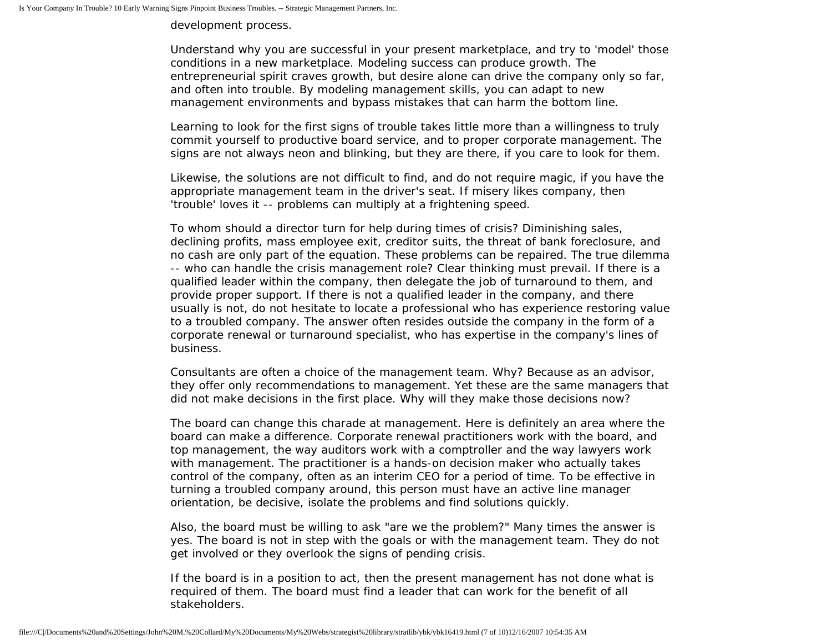development process.

Understand why you are successful in your present marketplace, and try to 'model' those conditions in a new marketplace. Modeling success can produce growth. The entrepreneurial spirit craves growth, but desire alone can drive the company only so far, and often into trouble. By modeling management skills, you can adapt to new management environments and bypass mistakes that can harm the bottom line.

Learning to look for the first signs of trouble takes little more than a willingness to truly commit yourself to productive board service, and to proper corporate management. The signs are not always neon and blinking, but they are there, if you care to look for them.

Likewise, the solutions are not difficult to find, and do not require magic, if you have the appropriate management team in the driver's seat. If misery likes company, then 'trouble' loves it -- problems can multiply at a frightening speed.

To whom should a director turn for help during times of crisis? Diminishing sales, declining profits, mass employee exit, creditor suits, the threat of bank foreclosure, and no cash are only part of the equation. These problems can be repaired. The true dilemma -- who can handle the crisis management role? Clear thinking must prevail. If there is a qualified leader within the company, then delegate the job of turnaround to them, and provide proper support. If there is not a qualified leader in the company, and there usually is not, do not hesitate to locate a professional who has experience restoring value to a troubled company. The answer often resides outside the company in the form of a corporate renewal or turnaround specialist, who has expertise in the company's lines of business.

Consultants are often a choice of the management team. Why? Because as an advisor, they offer only recommendations to management. Yet these are the same managers that did not make decisions in the first place. Why will they make those decisions now?

The board can change this charade at management. Here is definitely an area where the board can make a difference. Corporate renewal practitioners work with the board, and top management, the way auditors work with a comptroller and the way lawyers work with management. The practitioner is a hands-on decision maker who actually takes control of the company, often as an interim CEO for a period of time. To be effective in turning a troubled company around, this person must have an active line manager orientation, be decisive, isolate the problems and find solutions quickly.

Also, the board must be willing to ask "are we the problem?" Many times the answer is yes. The board is not in step with the goals or with the management team. They do not get involved or they overlook the signs of pending crisis.

If the board is in a position to act, then the present management has not done what is required of them. The board must find a leader that can work for the benefit of all stakeholders.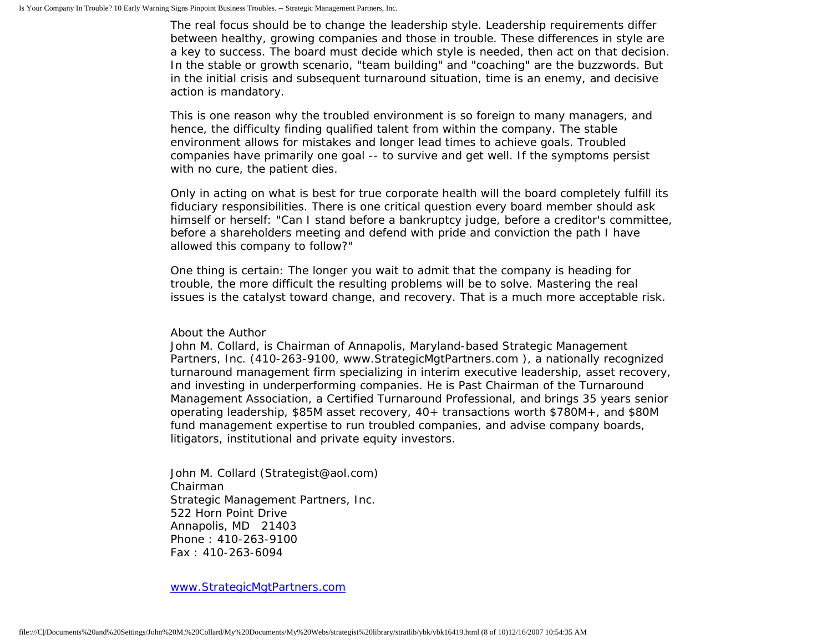The real focus should be to change the leadership style. Leadership requirements differ between healthy, growing companies and those in trouble. These differences in style are a key to success. The board must decide which style is needed, then act on that decision. In the stable or growth scenario, "team building" and "coaching" are the buzzwords. But in the initial crisis and subsequent turnaround situation, time is an enemy, and decisive action is mandatory.

This is one reason why the troubled environment is so foreign to many managers, and hence, the difficulty finding qualified talent from within the company. The stable environment allows for mistakes and longer lead times to achieve goals. Troubled companies have primarily one goal -- to survive and get well. If the symptoms persist with no cure, the patient dies.

Only in acting on what is best for true corporate health will the board completely fulfill its fiduciary responsibilities. There is one critical question every board member should ask himself or herself: "Can I stand before a bankruptcy judge, before a creditor's committee, before a shareholders meeting and defend with pride and conviction the path I have allowed this company to follow?"

One thing is certain: The longer you wait to admit that the company is heading for trouble, the more difficult the resulting problems will be to solve. Mastering the real issues is the catalyst toward change, and recovery. That is a much more acceptable risk.

About the Author

John M. Collard, is Chairman of Annapolis, Maryland-based Strategic Management Partners, Inc. (410-263-9100, www.StrategicMgtPartners.com ), a nationally recognized turnaround management firm specializing in interim executive leadership, asset recovery, and investing in underperforming companies. He is Past Chairman of the Turnaround Management Association, a Certified Turnaround Professional, and brings 35 years senior operating leadership, \$85M asset recovery, 40+ transactions worth \$780M+, and \$80M fund management expertise to run troubled companies, and advise company boards, litigators, institutional and private equity investors.

John M. Collard (Strategist@aol.com) Chairman Strategic Management Partners, Inc. 522 Horn Point Drive Annapolis, MD 21403 Phone : 410-263-9100 Fax : 410-263-6094

[www.StrategicMgtPartners.com](http://www.strategicmgtpartners.com/)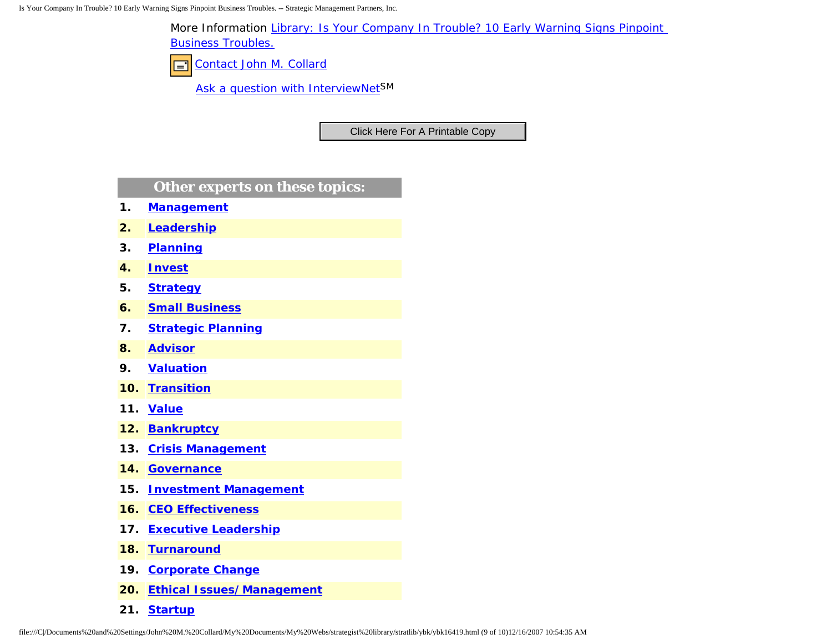Is Your Company In Trouble? 10 Early Warning Signs Pinpoint Business Troubles. -- Strategic Management Partners, Inc.

More Information [Library: Is Your Company In Trouble? 10 Early Warning Signs Pinpoint](http://members.aol.com/stratlib/tcb.html)  [Business Troubles.](http://members.aol.com/stratlib/tcb.html)

[Contact John M. Collard](http://www.expertclick.com/expertClick/contact/default.cfm?Action=ContactExpert&GroupID=1016) ⊟⊺

[Ask a question with InterviewNetS](http://www.expertclick.com/expertClick/contact/default.cfm?GroupID=1016)M

## **Other experts on these topics:**

- **1. [Management](http://www.expertclick.com/search/default.cfm?SearchCriteria=Management)**
- **2. [Leadership](http://www.expertclick.com/search/default.cfm?SearchCriteria=Leadership)**
- **3. [Planning](http://www.expertclick.com/search/default.cfm?SearchCriteria=Planning)**
- **4. [Invest](http://www.expertclick.com/search/default.cfm?SearchCriteria=Invest)**
- **5. [Strategy](http://www.expertclick.com/search/default.cfm?SearchCriteria=Strategy)**
- **6. [Small Business](http://www.expertclick.com/search/default.cfm?SearchCriteria=Small Business)**
- **7. [Strategic Planning](http://www.expertclick.com/search/default.cfm?SearchCriteria=Strategic Planning)**
- **8. [Advisor](http://www.expertclick.com/search/default.cfm?SearchCriteria=Advisor)**
- **9. [Valuation](http://www.expertclick.com/search/default.cfm?SearchCriteria=Valuation)**
- **10. [Transition](http://www.expertclick.com/search/default.cfm?SearchCriteria=Transition)**
- **11. [Value](http://www.expertclick.com/search/default.cfm?SearchCriteria=Value)**
- **12. [Bankruptcy](http://www.expertclick.com/search/default.cfm?SearchCriteria=Bankruptcy)**
- **13. [Crisis Management](http://www.expertclick.com/search/default.cfm?SearchCriteria=Crisis Management)**
- **14. [Governance](http://www.expertclick.com/search/default.cfm?SearchCriteria=Governance)**
- **15. [Investment Management](http://www.expertclick.com/search/default.cfm?SearchCriteria=Investment Management)**
- **16. [CEO Effectiveness](http://www.expertclick.com/search/default.cfm?SearchCriteria=CEO Effectiveness)**
- **17. [Executive Leadership](http://www.expertclick.com/search/default.cfm?SearchCriteria=Executive Leadership)**
- **18. [Turnaround](http://www.expertclick.com/search/default.cfm?SearchCriteria=Turnaround)**
- **19. [Corporate Change](http://www.expertclick.com/search/default.cfm?SearchCriteria=Corporate Change)**
- **20. [Ethical Issues/Management](http://www.expertclick.com/search/default.cfm?SearchCriteria=Ethical Issues/Management)**
- **21. [Startup](http://www.expertclick.com/search/default.cfm?SearchCriteria=Startup)**